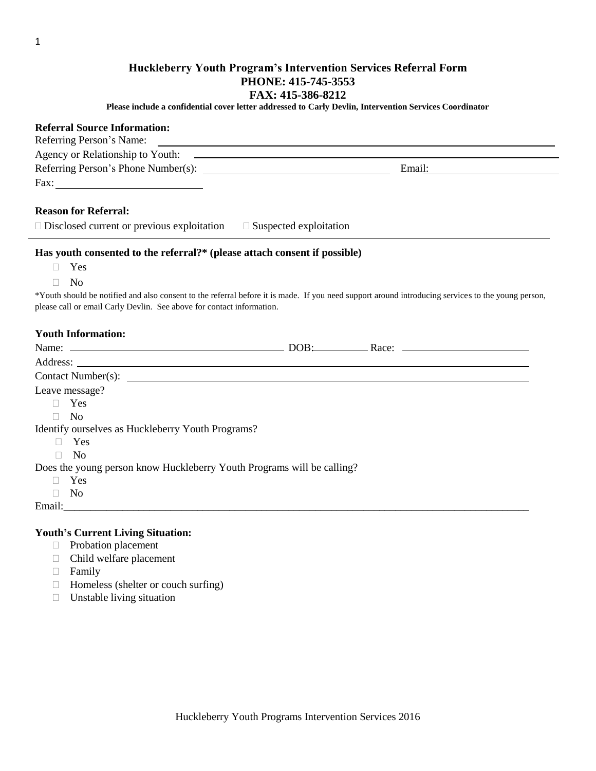### **Huckleberry Youth Program's Intervention Services Referral Form PHONE: 415-745-3553 FAX: 415-386-8212**

**Please include a confidential cover letter addressed to Carly Devlin, Intervention Services Coordinator**

# **Referral Source Information:**

| Referring Person's Name:                                                                                                                           |        |  |  |  |
|----------------------------------------------------------------------------------------------------------------------------------------------------|--------|--|--|--|
|                                                                                                                                                    |        |  |  |  |
|                                                                                                                                                    | Email: |  |  |  |
| Fax: $\qquad \qquad$                                                                                                                               |        |  |  |  |
|                                                                                                                                                    |        |  |  |  |
| <b>Reason for Referral:</b>                                                                                                                        |        |  |  |  |
| $\Box$ Disclosed current or previous exploitation $\Box$ Suspected exploitation                                                                    |        |  |  |  |
| Has youth consented to the referral?* (please attach consent if possible)                                                                          |        |  |  |  |
| Yes<br>$\Box$                                                                                                                                      |        |  |  |  |
| N <sub>o</sub><br>П                                                                                                                                |        |  |  |  |
| *Youth should be notified and also consent to the referral before it is made. If you need support around introducing services to the young person, |        |  |  |  |
| please call or email Carly Devlin. See above for contact information.                                                                              |        |  |  |  |
|                                                                                                                                                    |        |  |  |  |
| <b>Youth Information:</b>                                                                                                                          |        |  |  |  |
|                                                                                                                                                    |        |  |  |  |
|                                                                                                                                                    |        |  |  |  |
|                                                                                                                                                    |        |  |  |  |
| Leave message?                                                                                                                                     |        |  |  |  |
| Yes<br>$\Box$                                                                                                                                      |        |  |  |  |
| N <sub>0</sub><br>П.                                                                                                                               |        |  |  |  |
| Identify ourselves as Huckleberry Youth Programs?                                                                                                  |        |  |  |  |
| Yes<br>П                                                                                                                                           |        |  |  |  |
| $\overline{N}$<br>П                                                                                                                                |        |  |  |  |
| Does the young person know Huckleberry Youth Programs will be calling?                                                                             |        |  |  |  |
| Yes                                                                                                                                                |        |  |  |  |
| N <sub>0</sub><br>$\Box$                                                                                                                           |        |  |  |  |
|                                                                                                                                                    |        |  |  |  |

#### **Youth's Current Living Situation:**

- Probation placement
- Child welfare placement
- Family
- $\Box$  Homeless (shelter or couch surfing)
- $\Box$  Unstable living situation